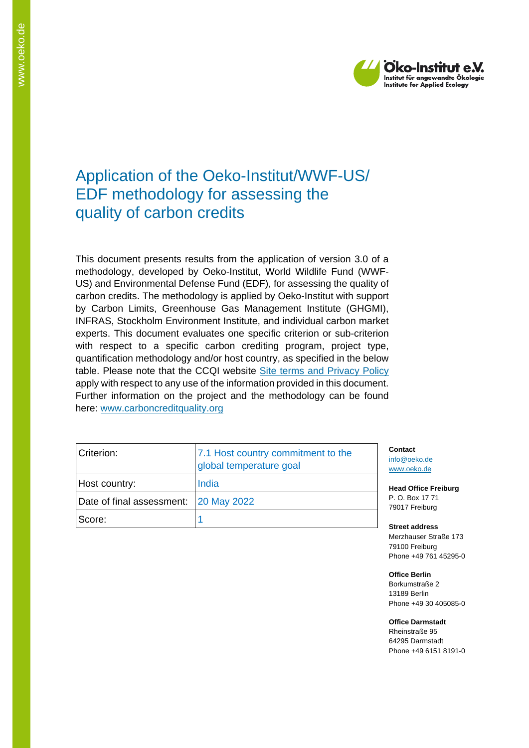

# Application of the Oeko-Institut/WWF-US/ EDF methodology for assessing the quality of carbon credits

This document presents results from the application of version 3.0 of a methodology, developed by Oeko-Institut, World Wildlife Fund (WWF-US) and Environmental Defense Fund (EDF), for assessing the quality of carbon credits. The methodology is applied by Oeko-Institut with support by Carbon Limits, Greenhouse Gas Management Institute (GHGMI), INFRAS, Stockholm Environment Institute, and individual carbon market experts. This document evaluates one specific criterion or sub-criterion with respect to a specific carbon crediting program, project type, quantification methodology and/or host country, as specified in the below table. Please note that the CCQI website [Site terms and Privacy Policy](https://carboncreditquality.org/terms.html) apply with respect to any use of the information provided in this document. Further information on the project and the methodology can be found here: [www.carboncreditquality.org](http://www.carboncreditquality.org/)

| Criterion:                            | 7.1 Host country commitment to the<br>global temperature goal | j. |
|---------------------------------------|---------------------------------------------------------------|----|
| Host country:                         | India                                                         |    |
| Date of final assessment: 20 May 2022 |                                                               |    |
| Score:                                |                                                               |    |

**Contact** nfo@oeko.de [www.oeko.de](http://www.oeko.de/)

**Head Office Freiburg** P. O. Box 17 71 79017 Freiburg

**Street address** Merzhauser Straße 173 79100 Freiburg Phone +49 761 45295-0

**Office Berlin** Borkumstraße 2 13189 Berlin Phone +49 30 405085-0

**Office Darmstadt** Rheinstraße 95 64295 Darmstadt Phone +49 6151 8191-0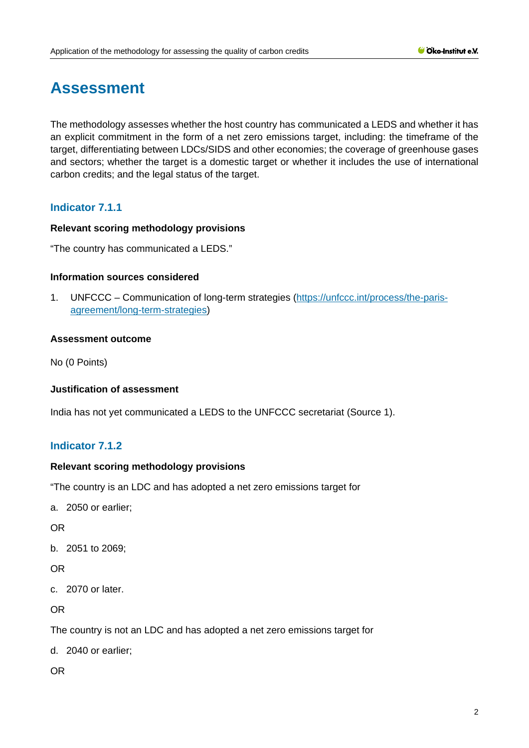# **Assessment**

The methodology assesses whether the host country has communicated a LEDS and whether it has an explicit commitment in the form of a net zero emissions target, including: the timeframe of the target, differentiating between LDCs/SIDS and other economies; the coverage of greenhouse gases and sectors; whether the target is a domestic target or whether it includes the use of international carbon credits; and the legal status of the target.

# **Indicator 7.1.1**

# **Relevant scoring methodology provisions**

"The country has communicated a LEDS."

#### **Information sources considered**

1. UNFCCC – Communication of long-term strategies [\(https://unfccc.int/process/the-paris](https://unfccc.int/process/the-paris-agreement/long-term-strategies)[agreement/long-term-strategies\)](https://unfccc.int/process/the-paris-agreement/long-term-strategies)

#### **Assessment outcome**

No (0 Points)

#### **Justification of assessment**

India has not yet communicated a LEDS to the UNFCCC secretariat (Source 1).

# **Indicator 7.1.2**

#### **Relevant scoring methodology provisions**

"The country is an LDC and has adopted a net zero emissions target for

a. 2050 or earlier;

OR

b. 2051 to 2069;

# OR

c. 2070 or later.

OR

The country is not an LDC and has adopted a net zero emissions target for

d. 2040 or earlier;

OR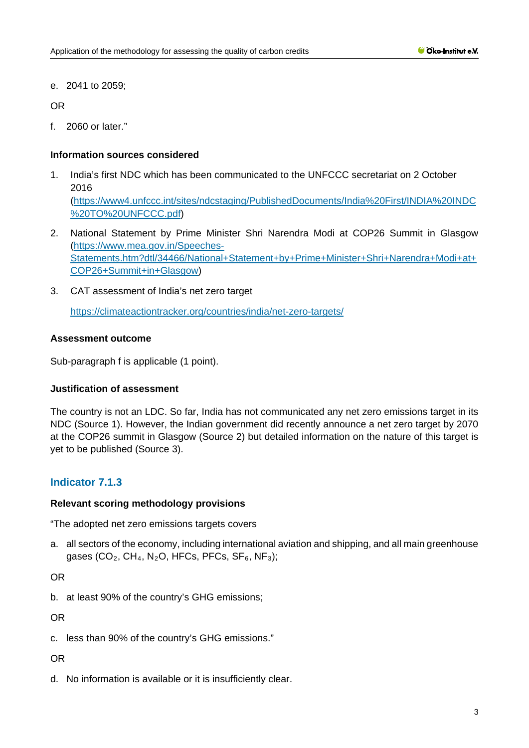e. 2041 to 2059;

OR

f. 2060 or later."

# **Information sources considered**

- 1. India's first NDC which has been communicated to the UNFCCC secretariat on 2 October 2016 [\(https://www4.unfccc.int/sites/ndcstaging/PublishedDocuments/India%20First/INDIA%20INDC](https://www4.unfccc.int/sites/ndcstaging/PublishedDocuments/India%20First/INDIA%20INDC%20TO%20UNFCCC.pdf) [%20TO%20UNFCCC.pdf\)](https://www4.unfccc.int/sites/ndcstaging/PublishedDocuments/India%20First/INDIA%20INDC%20TO%20UNFCCC.pdf)
- 2. National Statement by Prime Minister Shri Narendra Modi at COP26 Summit in Glasgow [\(https://www.mea.gov.in/Speeches-](https://www.mea.gov.in/Speeches-Statements.htm?dtl/34466/National+Statement+by+Prime+Minister+Shri+Narendra+Modi+at+COP26+Summit+in+Glasgow)[Statements.htm?dtl/34466/National+Statement+by+Prime+Minister+Shri+Narendra+Modi+at+](https://www.mea.gov.in/Speeches-Statements.htm?dtl/34466/National+Statement+by+Prime+Minister+Shri+Narendra+Modi+at+COP26+Summit+in+Glasgow) [COP26+Summit+in+Glasgow\)](https://www.mea.gov.in/Speeches-Statements.htm?dtl/34466/National+Statement+by+Prime+Minister+Shri+Narendra+Modi+at+COP26+Summit+in+Glasgow)
- 3. CAT assessment of India's net zero target

<https://climateactiontracker.org/countries/india/net-zero-targets/>

# **Assessment outcome**

Sub-paragraph f is applicable (1 point).

# **Justification of assessment**

The country is not an LDC. So far, India has not communicated any net zero emissions target in its NDC (Source 1). However, the Indian government did recently announce a net zero target by 2070 at the COP26 summit in Glasgow (Source 2) but detailed information on the nature of this target is yet to be published (Source 3).

# **Indicator 7.1.3**

# **Relevant scoring methodology provisions**

"The adopted net zero emissions targets covers

a. all sectors of the economy, including international aviation and shipping, and all main greenhouse gases (CO<sub>2</sub>, CH<sub>4</sub>, N<sub>2</sub>O, HFCs, PFCs, SF<sub>6</sub>, NF<sub>3</sub>);

OR

b. at least 90% of the country's GHG emissions;

OR

c. less than 90% of the country's GHG emissions."

# OR

d. No information is available or it is insufficiently clear.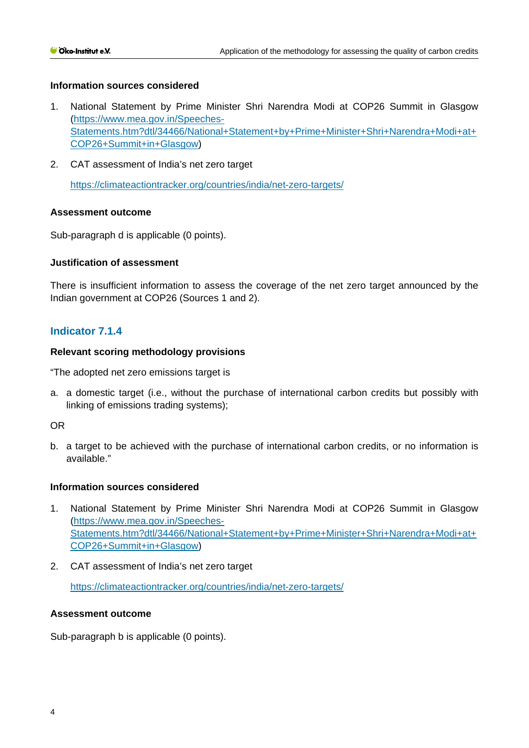#### **Information sources considered**

- 1. National Statement by Prime Mi[nister Shri Narendra Modi at COP26 Summit in Glasgow](https://www.mea.gov.in/Speeches-Statements.htm?dtl/34466/National+Statement+by+Prime+Minister+Shri+Narendra+Modi+at+COP26+Summit+in+Glasgow) [\(https://www.mea.gov.in/Speeches-](https://www.mea.gov.in/Speeches-Statements.htm?dtl/34466/National+Statement+by+Prime+Minister+Shri+Narendra+Modi+at+COP26+Summit+in+Glasgow)[Statements.htm?dtl/34466/National+Statement+by+Prime+Minister+Shri+Narendra+Modi+at+](https://www.mea.gov.in/Speeches-Statements.htm?dtl/34466/National+Statement+by+Prime+Minister+Shri+Narendra+Modi+at+COP26+Summit+in+Glasgow) [COP26+Summit+in+Glasgow\)](https://www.mea.gov.in/Speeches-Statements.htm?dtl/34466/National+Statement+by+Prime+Minister+Shri+Narendra+Modi+at+COP26+Summit+in+Glasgow)
- 2. CAT assessment of India's net zero target

<https://climateactiontracker.org/countries/india/net-zero-targets/>

#### **Assessment outcome**

Sub-paragraph d is applicable (0 points).

#### **Justification of assessment**

There is insufficient information to assess the coverage of the net zero target announced by the Indian government at COP26 (Sources 1 and 2).

# **Indicator 7.1.4**

#### **Relevant scoring methodology provisions**

"The adopted net zero emissions target is

a. a domestic target (i.e., without the purchase of international carbon credits but possibly with linking of emissions trading systems);

#### OR

b. a target to be achieved with the purchase of international carbon credits, or no information is available."

#### **Information sources considered**

- 1. National Statement by Prime Minister Shri Narendra Modi at COP26 Summit in Glasgow [\(https://www.mea.gov.in/Speeches-](https://www.mea.gov.in/Speeches-Statements.htm?dtl/34466/National+Statement+by+Prime+Minister+Shri+Narendra+Modi+at+COP26+Summit+in+Glasgow)[Statements.htm?dtl/34466/National+Statement+by+Prime+Minister+Shri+Narendra+Modi+at+](https://www.mea.gov.in/Speeches-Statements.htm?dtl/34466/National+Statement+by+Prime+Minister+Shri+Narendra+Modi+at+COP26+Summit+in+Glasgow) [COP26+Summit+in+Glasgow\)](https://www.mea.gov.in/Speeches-Statements.htm?dtl/34466/National+Statement+by+Prime+Minister+Shri+Narendra+Modi+at+COP26+Summit+in+Glasgow)
- 2. CAT assessment of India's net zero target

<https://climateactiontracker.org/countries/india/net-zero-targets/>

#### **Assessment outcome**

Sub-paragraph b is applicable (0 points).